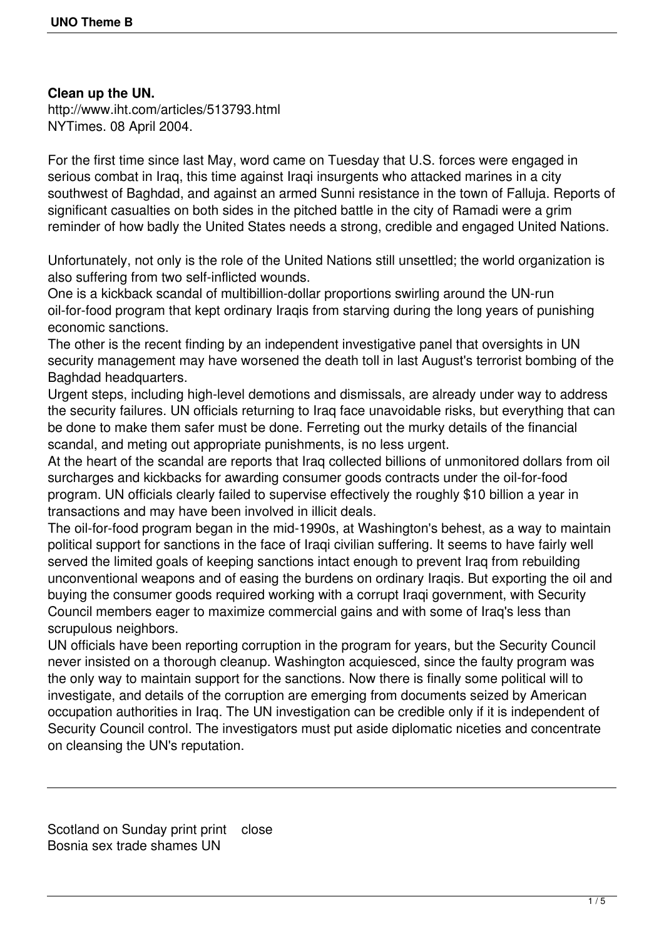## **Clean up the UN.**

http://www.iht.com/articles/513793.html NYTimes. 08 April 2004.

For the first time since last May, word came on Tuesday that U.S. forces were engaged in serious combat in Iraq, this time against Iraqi insurgents who attacked marines in a city southwest of Baghdad, and against an armed Sunni resistance in the town of Falluja. Reports of significant casualties on both sides in the pitched battle in the city of Ramadi were a grim reminder of how badly the United States needs a strong, credible and engaged United Nations.

Unfortunately, not only is the role of the United Nations still unsettled; the world organization is also suffering from two self-inflicted wounds.

One is a kickback scandal of multibillion-dollar proportions swirling around the UN-run oil-for-food program that kept ordinary Iraqis from starving during the long years of punishing economic sanctions.

The other is the recent finding by an independent investigative panel that oversights in UN security management may have worsened the death toll in last August's terrorist bombing of the Baghdad headquarters.

Urgent steps, including high-level demotions and dismissals, are already under way to address the security failures. UN officials returning to Iraq face unavoidable risks, but everything that can be done to make them safer must be done. Ferreting out the murky details of the financial scandal, and meting out appropriate punishments, is no less urgent.

At the heart of the scandal are reports that Iraq collected billions of unmonitored dollars from oil surcharges and kickbacks for awarding consumer goods contracts under the oil-for-food program. UN officials clearly failed to supervise effectively the roughly \$10 billion a year in transactions and may have been involved in illicit deals.

The oil-for-food program began in the mid-1990s, at Washington's behest, as a way to maintain political support for sanctions in the face of Iraqi civilian suffering. It seems to have fairly well served the limited goals of keeping sanctions intact enough to prevent Iraq from rebuilding unconventional weapons and of easing the burdens on ordinary Iraqis. But exporting the oil and buying the consumer goods required working with a corrupt Iraqi government, with Security Council members eager to maximize commercial gains and with some of Iraq's less than scrupulous neighbors.

UN officials have been reporting corruption in the program for years, but the Security Council never insisted on a thorough cleanup. Washington acquiesced, since the faulty program was the only way to maintain support for the sanctions. Now there is finally some political will to investigate, and details of the corruption are emerging from documents seized by American occupation authorities in Iraq. The UN investigation can be credible only if it is independent of Security Council control. The investigators must put aside diplomatic niceties and concentrate on cleansing the UN's reputation.

Scotland on Sunday print print close Bosnia sex trade shames UN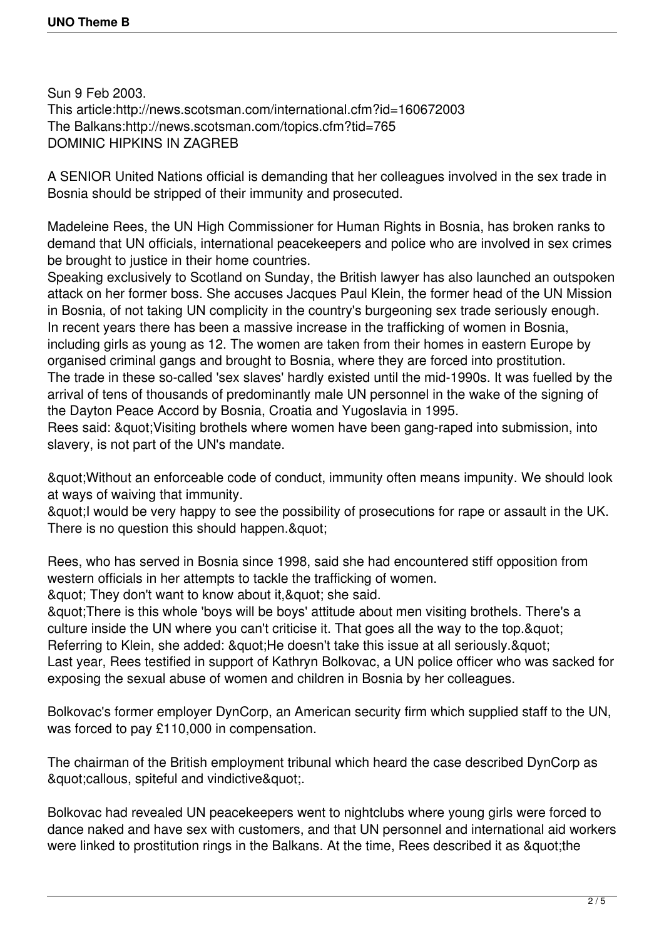Sun 9 Feb 2003. This article:http://news.scotsman.com/international.cfm?id=160672003 The Balkans:http://news.scotsman.com/topics.cfm?tid=765 DOMINIC HIPKINS IN ZAGREB

A SENIOR United Nations official is demanding that her colleagues involved in the sex trade in Bosnia should be stripped of their immunity and prosecuted.

Madeleine Rees, the UN High Commissioner for Human Rights in Bosnia, has broken ranks to demand that UN officials, international peacekeepers and police who are involved in sex crimes be brought to justice in their home countries.

Speaking exclusively to Scotland on Sunday, the British lawyer has also launched an outspoken attack on her former boss. She accuses Jacques Paul Klein, the former head of the UN Mission in Bosnia, of not taking UN complicity in the country's burgeoning sex trade seriously enough. In recent years there has been a massive increase in the trafficking of women in Bosnia, including girls as young as 12. The women are taken from their homes in eastern Europe by organised criminal gangs and brought to Bosnia, where they are forced into prostitution. The trade in these so-called 'sex slaves' hardly existed until the mid-1990s. It was fuelled by the arrival of tens of thousands of predominantly male UN personnel in the wake of the signing of the Dayton Peace Accord by Bosnia, Croatia and Yugoslavia in 1995.

Rees said: " Visiting brothels where women have been gang-raped into submission, into slavery, is not part of the UN's mandate.

"Without an enforceable code of conduct, immunity often means impunity. We should look at ways of waiving that immunity.

& auot; I would be very happy to see the possibility of prosecutions for rape or assault in the UK. There is no question this should happen. & quot;

Rees, who has served in Bosnia since 1998, said she had encountered stiff opposition from western officials in her attempts to tackle the trafficking of women.

& quot; They don't want to know about it, & quot; she said.

"There is this whole 'boys will be boys' attitude about men visiting brothels. There's a culture inside the UN where you can't criticise it. That goes all the way to the top. & quot: Referring to Klein, she added: " He doesn't take this issue at all seriously. "

Last year, Rees testified in support of Kathryn Bolkovac, a UN police officer who was sacked for exposing the sexual abuse of women and children in Bosnia by her colleagues.

Bolkovac's former employer DynCorp, an American security firm which supplied staff to the UN, was forced to pay £110,000 in compensation.

The chairman of the British employment tribunal which heard the case described DynCorp as & au ot: callous, spiteful and vindictive & quot:..

Bolkovac had revealed UN peacekeepers went to nightclubs where young girls were forced to dance naked and have sex with customers, and that UN personnel and international aid workers were linked to prostitution rings in the Balkans. At the time, Rees described it as " the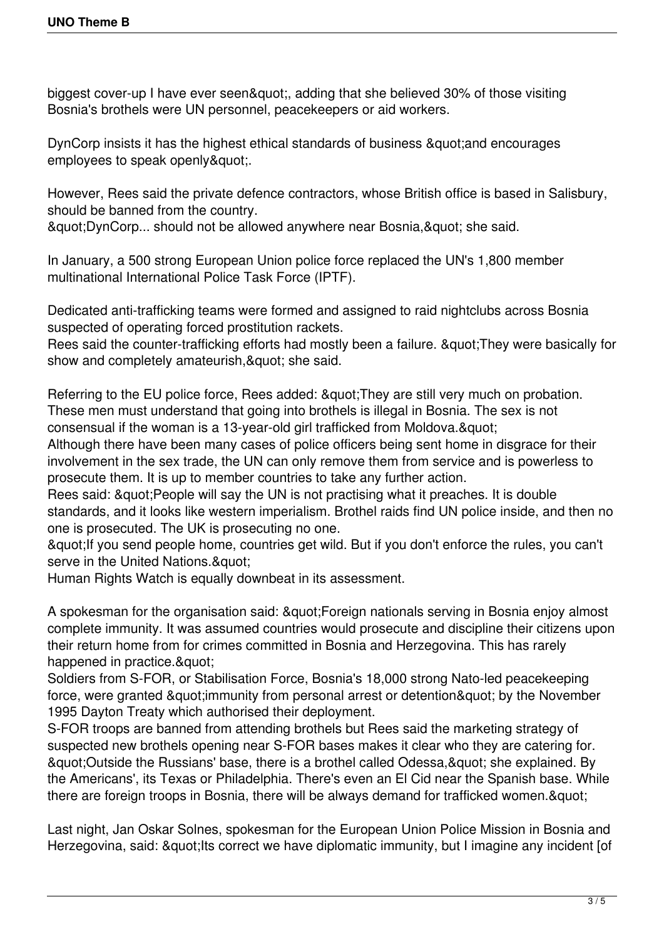biggest cover-up I have ever seen", adding that she believed 30% of those visiting Bosnia's brothels were UN personnel, peacekeepers or aid workers.

DynCorp insists it has the highest ethical standards of business & quot and encourages employees to speak openly".

However, Rees said the private defence contractors, whose British office is based in Salisbury, should be banned from the country.

 $&$ quot:DynCorp... should not be allowed anywhere near Bosnia, &quot: she said.

In January, a 500 strong European Union police force replaced the UN's 1,800 member multinational International Police Task Force (IPTF).

Dedicated anti-trafficking teams were formed and assigned to raid nightclubs across Bosnia suspected of operating forced prostitution rackets.

Rees said the counter-trafficking efforts had mostly been a failure. & quot; They were basically for show and completely amateurish, & quot; she said.

Referring to the EU police force, Rees added: & quot; They are still very much on probation. These men must understand that going into brothels is illegal in Bosnia. The sex is not consensual if the woman is a 13-year-old girl trafficked from Moldova."

Although there have been many cases of police officers being sent home in disgrace for their involvement in the sex trade, the UN can only remove them from service and is powerless to prosecute them. It is up to member countries to take any further action.

Rees said: " People will say the UN is not practising what it preaches. It is double standards, and it looks like western imperialism. Brothel raids find UN police inside, and then no one is prosecuted. The UK is prosecuting no one.

& quot; If you send people home, countries get wild. But if you don't enforce the rules, you can't serve in the United Nations. & quot;

Human Rights Watch is equally downbeat in its assessment.

A spokesman for the organisation said: " Foreign nationals serving in Bosnia enjoy almost complete immunity. It was assumed countries would prosecute and discipline their citizens upon their return home from for crimes committed in Bosnia and Herzegovina. This has rarely happened in practice."

Soldiers from S-FOR, or Stabilisation Force, Bosnia's 18,000 strong Nato-led peacekeeping force, were granted & quot; immunity from personal arrest or detention & quot; by the November 1995 Dayton Treaty which authorised their deployment.

S-FOR troops are banned from attending brothels but Rees said the marketing strategy of suspected new brothels opening near S-FOR bases makes it clear who they are catering for. & aupt: Outside the Russians' base, there is a brothel called Odessa, & quot; she explained. By the Americans', its Texas or Philadelphia. There's even an El Cid near the Spanish base. While there are foreign troops in Bosnia, there will be always demand for trafficked women. & quot;

Last night, Jan Oskar Solnes, spokesman for the European Union Police Mission in Bosnia and Herzegovina, said: & quot; Its correct we have diplomatic immunity, but I imagine any incident [of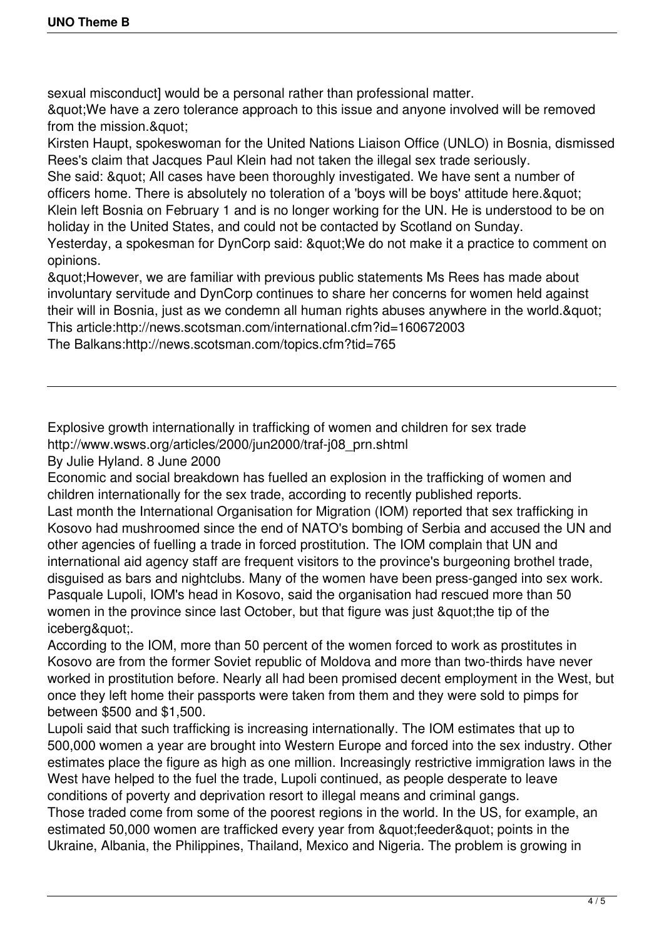sexual misconduct] would be a personal rather than professional matter.

"We have a zero tolerance approach to this issue and anyone involved will be removed from the mission."

Kirsten Haupt, spokeswoman for the United Nations Liaison Office (UNLO) in Bosnia, dismissed Rees's claim that Jacques Paul Klein had not taken the illegal sex trade seriously.

She said: & quot; All cases have been thoroughly investigated. We have sent a number of officers home. There is absolutely no toleration of a 'boys will be boys' attitude here. & quot: Klein left Bosnia on February 1 and is no longer working for the UN. He is understood to be on holiday in the United States, and could not be contacted by Scotland on Sunday.

Yesterday, a spokesman for DynCorp said: " We do not make it a practice to comment on opinions.

"However, we are familiar with previous public statements Ms Rees has made about involuntary servitude and DynCorp continues to share her concerns for women held against their will in Bosnia, just as we condemn all human rights abuses anywhere in the world. & quot; This article:http://news.scotsman.com/international.cfm?id=160672003

The Balkans:http://news.scotsman.com/topics.cfm?tid=765

Explosive growth internationally in trafficking of women and children for sex trade http://www.wsws.org/articles/2000/jun2000/traf-j08\_prn.shtml

By Julie Hyland. 8 June 2000

Economic and social breakdown has fuelled an explosion in the trafficking of women and children internationally for the sex trade, according to recently published reports. Last month the International Organisation for Migration (IOM) reported that sex trafficking in Kosovo had mushroomed since the end of NATO's bombing of Serbia and accused the UN and other agencies of fuelling a trade in forced prostitution. The IOM complain that UN and international aid agency staff are frequent visitors to the province's burgeoning brothel trade, disguised as bars and nightclubs. Many of the women have been press-ganged into sex work. Pasquale Lupoli, IOM's head in Kosovo, said the organisation had rescued more than 50 women in the province since last October, but that figure was just & quot; the tip of the iceberg&quot:.

According to the IOM, more than 50 percent of the women forced to work as prostitutes in Kosovo are from the former Soviet republic of Moldova and more than two-thirds have never worked in prostitution before. Nearly all had been promised decent employment in the West, but once they left home their passports were taken from them and they were sold to pimps for between \$500 and \$1,500.

Lupoli said that such trafficking is increasing internationally. The IOM estimates that up to 500,000 women a year are brought into Western Europe and forced into the sex industry. Other estimates place the figure as high as one million. Increasingly restrictive immigration laws in the West have helped to the fuel the trade, Lupoli continued, as people desperate to leave conditions of poverty and deprivation resort to illegal means and criminal gangs.

Those traded come from some of the poorest regions in the world. In the US, for example, an estimated 50,000 women are trafficked every year from " feeder" points in the Ukraine, Albania, the Philippines, Thailand, Mexico and Nigeria. The problem is growing in